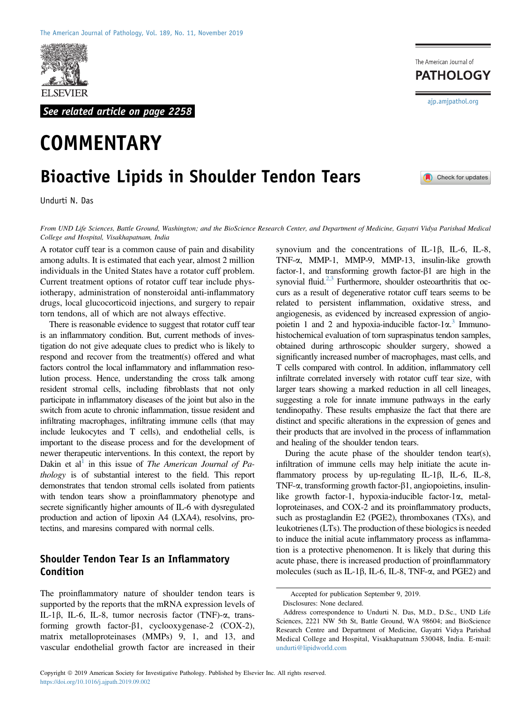

See related article on page 2258

# **COMMENTARY**

## Bioactive Lipids in Shoulder Tendon Tears

Undurti N. Das

From UND Life Sciences, Battle Ground, Washington; and the BioScience Research Center, and Department of Medicine, Gayatri Vidya Parishad Medical College and Hospital, Visakhapatnam, India

A rotator cuff tear is a common cause of pain and disability among adults. It is estimated that each year, almost 2 million individuals in the United States have a rotator cuff problem. Current treatment options of rotator cuff tear include physiotherapy, administration of nonsteroidal anti-inflammatory drugs, local glucocorticoid injections, and surgery to repair torn tendons, all of which are not always effective.

There is reasonable evidence to suggest that rotator cuff tear is an inflammatory condition. But, current methods of investigation do not give adequate clues to predict who is likely to respond and recover from the treatment(s) offered and what factors control the local inflammatory and inflammation resolution process. Hence, understanding the cross talk among resident stromal cells, including fibroblasts that not only participate in inflammatory diseases of the joint but also in the switch from acute to chronic inflammation, tissue resident and infiltrating macrophages, infiltrating immune cells (that may include leukocytes and T cells), and endothelial cells, is important to the disease process and for the development of newer therapeutic interventions. In this context, the report by Dakin et al<sup>1</sup> in this issue of *The American Journal of Pa*thology is of substantial interest to the field. This report demonstrates that tendon stromal cells isolated from patients with tendon tears show a proinflammatory phenotype and secrete significantly higher amounts of IL-6 with dysregulated production and action of lipoxin A4 (LXA4), resolvins, protectins, and maresins compared with normal cells.

#### Shoulder Tendon Tear Is an Inflammatory Condition

The proinflammatory nature of shoulder tendon tears is supported by the reports that the mRNA expression levels of IL-1 $\beta$ , IL-6, IL-8, tumor necrosis factor (TNF)- $\alpha$ , transforming growth factor- $\beta$ 1, cyclooxygenase-2 (COX-2), matrix metalloproteinases (MMPs) 9, 1, and 13, and vascular endothelial growth factor are increased in their

synovium and the concentrations of IL-1 $\beta$ , IL-6, IL-8, TNF-a, MMP-1, MMP-9, MMP-13, insulin-like growth factor-1, and transforming growth factor- $\beta$ 1 are high in the synovial fluid. $2,3$  Furthermore, shoulder osteoarthritis that occurs as a result of degenerative rotator cuff tears seems to be related to persistent inflammation, oxidative stress, and angiogenesis, as evidenced by increased expression of angiopoietin 1 and 2 and hypoxia-inducible factor-1 $\alpha$ .<sup>[3](#page-3-2)</sup> Immuno-<br>histochemical evaluation of torn supprayinatus tendon samples histochemical evaluation of torn supraspinatus tendon samples, obtained during arthroscopic shoulder surgery, showed a significantly increased number of macrophages, mast cells, and T cells compared with control. In addition, inflammatory cell infiltrate correlated inversely with rotator cuff tear size, with larger tears showing a marked reduction in all cell lineages, suggesting a role for innate immune pathways in the early tendinopathy. These results emphasize the fact that there are distinct and specific alterations in the expression of genes and their products that are involved in the process of inflammation and healing of the shoulder tendon tears.

During the acute phase of the shoulder tendon tear(s), infiltration of immune cells may help initiate the acute inflammatory process by up-regulating  $IL-1\beta$ ,  $IL-6$ ,  $IL-8$ , TNF- $\alpha$ , transforming growth factor- $\beta$ 1, angiopoietins, insulinlike growth factor-1, hypoxia-inducible factor-1 $\alpha$ , metalloproteinases, and COX-2 and its proinflammatory products, such as prostaglandin E2 (PGE2), thromboxanes (TXs), and leukotrienes (LTs). The production of these biologics is needed to induce the initial acute inflammatory process as inflammation is a protective phenomenon. It is likely that during this acute phase, there is increased production of proinflammatory molecules (such as IL-1 $\beta$ , IL-6, IL-8, TNF- $\alpha$ , and PGE2) and

**PATHOLOGY** 

Check for updates

[ajp.amjpathol.org](http://ajp.amjpathol.org)

The American Journal of

Accepted for publication September 9, 2019.

Disclosures: None declared.

Address correspondence to Undurti N. Das, M.D., D.Sc., UND Life Sciences, 2221 NW 5th St, Battle Ground, WA 98604; and BioScience Research Centre and Department of Medicine, Gayatri Vidya Parishad Medical College and Hospital, Visakhapatnam 530048, India. E-mail: [undurti@lipidworld.com](mailto:undurti@lipidworld.com)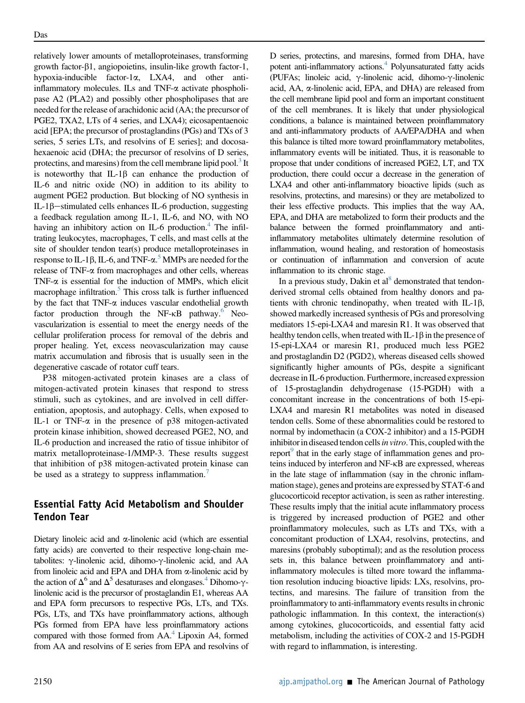relatively lower amounts of metalloproteinases, transforming growth factor- $\beta$ 1, angiopoietins, insulin-like growth factor-1, hypoxia-inducible factor-1 $\alpha$ , LXA4, and other antiinflammatory molecules. ILs and TNF-a activate phospholipase A2 (PLA2) and possibly other phospholipases that are needed for the release of arachidonic acid (AA; the precursor of PGE2, TXA2, LTs of 4 series, and LXA4); eicosapentaenoic acid [EPA; the precursor of prostaglandins (PGs) and TXs of 3 series, 5 series LTs, and resolvins of E series]; and docosahexaenoic acid (DHA; the precursor of resolvins of D series, protectins, and maresins) from the cell membrane lipid pool.<sup>[3](#page-3-2)</sup> It is noteworthy that  $IL-1\beta$  can enhance the production of IL-6 and nitric oxide (NO) in addition to its ability to augment PGE2 production. But blocking of NO synthesis in IL-1 $\beta$ -stimulated cells enhances IL-6 production, suggesting a feedback regulation among IL-1, IL-6, and NO, with NO having an inhibitory action on  $IL-6$  production.<sup>4</sup> The infiltrating leukocytes, macrophages, T cells, and mast cells at the site of shoulder tendon tear(s) produce metalloproteinases in response to IL-1 $\beta$ , IL-6, and TNF- $\alpha$ .<sup>[5](#page-3-4)</sup> MMPs are needed for the release of TNF- $\alpha$  from macrophages and other cells, wherease release of TNF-a from macrophages and other cells, whereas TNF- $\alpha$  is essential for the induction of MMPs, which elicit macrophage infiltration.<sup>[5](#page-3-4)</sup> This cross talk is further influenced by the fact that TNF- $\alpha$  induces vascular endothelial growth factor production through the NF-KB pathway.<sup>6</sup> Neovascularization is essential to meet the energy needs of the cellular proliferation process for removal of the debris and proper healing. Yet, excess neovascularization may cause matrix accumulation and fibrosis that is usually seen in the degenerative cascade of rotator cuff tears.

P38 mitogen-activated protein kinases are a class of mitogen-activated protein kinases that respond to stress stimuli, such as cytokines, and are involved in cell differentiation, apoptosis, and autophagy. Cells, when exposed to IL-1 or TNF- $\alpha$  in the presence of p38 mitogen-activated protein kinase inhibition, showed decreased PGE2, NO, and IL-6 production and increased the ratio of tissue inhibitor of matrix metalloproteinase-1/MMP-3. These results suggest that inhibition of p38 mitogen-activated protein kinase can be used as a strategy to suppress inflammation.<sup>[7](#page-3-6)</sup>

### Essential Fatty Acid Metabolism and Shoulder Tendon Tear

Dietary linoleic acid and  $\alpha$ -linolenic acid (which are essential fatty acids) are converted to their respective long-chain metabolites:  $\gamma$ -linolenic acid, dihomo- $\gamma$ -linolenic acid, and AA from linoleic acid and EPA and DHA from  $\alpha$ -linolenic acid by the action of  $\Delta^6$  and  $\Delta^5$  desaturases and elongases.<sup>4</sup> Dihomo- $\gamma$ linolenic acid is the precursor of prostaglandin E1, whereas AA and EPA form precursors to respective PGs, LTs, and TXs. PGs, LTs, and TXs have proinflammatory actions, although PGs formed from EPA have less proinflammatory actions compared with those formed from AA.<sup>4</sup> Lipoxin A4, formed from AA and resolvins of E series from EPA and resolvins of

D series, protectins, and maresins, formed from DHA, have potent anti-inflammatory actions.<sup>4</sup> Polyunsaturated fatty acids (PUFAs; linoleic acid,  $\gamma$ -linolenic acid, dihomo- $\gamma$ -linolenic acid, AA, a-linolenic acid, EPA, and DHA) are released from the cell membrane lipid pool and form an important constituent of the cell membranes. It is likely that under physiological conditions, a balance is maintained between proinflammatory and anti-inflammatory products of AA/EPA/DHA and when this balance is tilted more toward proinflammatory metabolites, inflammatory events will be initiated. Thus, it is reasonable to propose that under conditions of increased PGE2, LT, and TX production, there could occur a decrease in the generation of LXA4 and other anti-inflammatory bioactive lipids (such as resolvins, protectins, and maresins) or they are metabolized to their less effective products. This implies that the way AA, EPA, and DHA are metabolized to form their products and the balance between the formed proinflammatory and antiinflammatory metabolites ultimately determine resolution of inflammation, wound healing, and restoration of homeostasis or continuation of inflammation and conversion of acute inflammation to its chronic stage.

In a previous study, Dakin et  $al<sup>8</sup>$  $al<sup>8</sup>$  $al<sup>8</sup>$  demonstrated that tendonderived stromal cells obtained from healthy donors and patients with chronic tendinopathy, when treated with IL-1 $\beta$ , showed markedly increased synthesis of PGs and proresolving mediators 15-epi-LXA4 and maresin R1. It was observed that healthy tendon cells, when treated with  $IL-1\beta$  in the presence of 15-epi-LXA4 or maresin R1, produced much less PGE2 and prostaglandin D2 (PGD2), whereas diseased cells showed significantly higher amounts of PGs, despite a significant decrease in IL-6 production. Furthermore, increased expression of 15-prostaglandin dehydrogenase (15-PGDH) with a concomitant increase in the concentrations of both 15-epi-LXA4 and maresin R1 metabolites was noted in diseased tendon cells. Some of these abnormalities could be restored to normal by indomethacin (a COX-2 inhibitor) and a 15-PGDH inhibitor in diseased tendon cells in vitro. This, coupled with the report<sup>[9](#page-3-8)</sup> that in the early stage of inflammation genes and proteins induced by interferon and NF-kB are expressed, whereas in the late stage of inflammation (say in the chronic inflammation stage), genes and proteins are expressed by STAT-6 and glucocorticoid receptor activation, is seen as rather interesting. These results imply that the initial acute inflammatory process is triggered by increased production of PGE2 and other proinflammatory molecules, such as LTs and TXs, with a concomitant production of LXA4, resolvins, protectins, and maresins (probably suboptimal); and as the resolution process sets in, this balance between proinflammatory and antiinflammatory molecules is tilted more toward the inflammation resolution inducing bioactive lipids: LXs, resolvins, protectins, and maresins. The failure of transition from the proinflammatory to anti-inflammatory events results in chronic pathologic inflammation. In this context, the interaction(s) among cytokines, glucocorticoids, and essential fatty acid metabolism, including the activities of COX-2 and 15-PGDH with regard to inflammation, is interesting.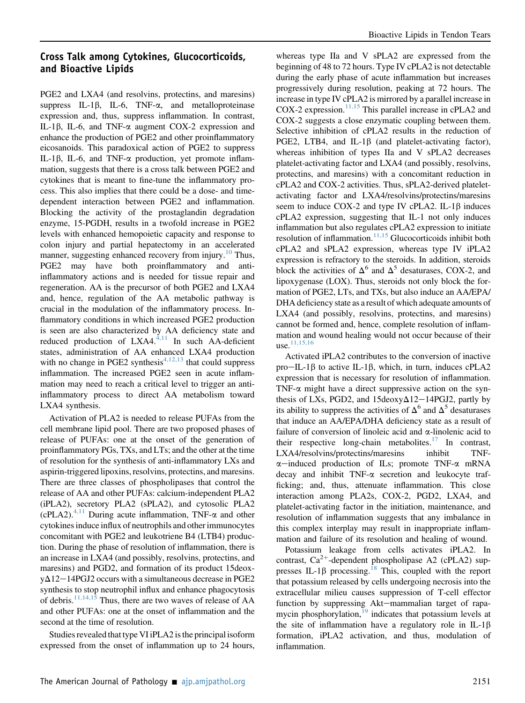#### Cross Talk among Cytokines, Glucocorticoids, and Bioactive Lipids

PGE2 and LXA4 (and resolvins, protectins, and maresins) suppress IL-1 $\beta$ , IL-6, TNF- $\alpha$ , and metalloproteinase expression and, thus, suppress inflammation. In contrast, IL-1 $\beta$ , IL-6, and TNF- $\alpha$  augment COX-2 expression and enhance the production of PGE2 and other proinflammatory eicosanoids. This paradoxical action of PGE2 to suppress IL-1 $\beta$ , IL-6, and TNF- $\alpha$  production, yet promote inflammation, suggests that there is a cross talk between PGE2 and cytokines that is meant to fine-tune the inflammatory process. This also implies that there could be a dose- and timedependent interaction between PGE2 and inflammation. Blocking the activity of the prostaglandin degradation enzyme, 15-PGDH, results in a twofold increase in PGE2 levels with enhanced hemopoietic capacity and response to colon injury and partial hepatectomy in an accelerated manner, suggesting enhanced recovery from injury.<sup>[10](#page-3-9)</sup> Thus, PGE2 may have both proinflammatory and antiinflammatory actions and is needed for tissue repair and regeneration. AA is the precursor of both PGE2 and LXA4 and, hence, regulation of the AA metabolic pathway is crucial in the modulation of the inflammatory process. Inflammatory conditions in which increased PGE2 production is seen are also characterized by AA deficiency state and reduced production of  $LXA4$ .<sup>[4,11](#page-3-3)</sup> In such AA-deficient states, administration of AA enhanced LXA4 production with no change in PGE2 synthesis<sup> $4,12,13$ </sup> that could suppress inflammation. The increased PGE2 seen in acute inflammation may need to reach a critical level to trigger an antiinflammatory process to direct AA metabolism toward LXA4 synthesis.

Activation of PLA2 is needed to release PUFAs from the cell membrane lipid pool. There are two proposed phases of release of PUFAs: one at the onset of the generation of proinflammatory PGs, TXs, and LTs; and the other at the time of resolution for the synthesis of anti-inflammatory LXs and aspirin-triggered lipoxins, resolvins, protectins, and maresins. There are three classes of phospholipases that control the release of AA and other PUFAs: calcium-independent PLA2 (iPLA2), secretory PLA2 (sPLA2), and cytosolic PLA2 (cPLA2).<sup>[4,11](#page-3-3)</sup> During acute inflammation, TNF- $\alpha$  and other cytokines induce influx of neutrophils and other immunocytes concomitant with PGE2 and leukotriene B4 (LTB4) production. During the phase of resolution of inflammation, there is an increase in LXA4 (and possibly, resolvins, protectins, and maresins) and PGD2, and formation of its product 15deox $y\Delta$ 12–14PGJ2 occurs with a simultaneous decrease in PGE2 synthesis to stop neutrophil influx and enhance phagocytosis of debris.<sup>[11,14,15](#page-3-10)</sup> Thus, there are two waves of release of AA and other PUFAs: one at the onset of inflammation and the second at the time of resolution.

Studies revealed that type VI iPLA2 is the principal isoform expressed from the onset of inflammation up to 24 hours,

whereas type IIa and V sPLA2 are expressed from the beginning of 48 to 72 hours. Type IV cPLA2 is not detectable during the early phase of acute inflammation but increases progressively during resolution, peaking at 72 hours. The increase in type IV cPLA2 is mirrored by a parallel increase in COX-2 expression.<sup>[11,15](#page-3-10)</sup> This parallel increase in cPLA2 and COX-2 suggests a close enzymatic coupling between them. Selective inhibition of cPLA2 results in the reduction of PGE2, LTB4, and IL-1 $\beta$  (and platelet-activating factor), whereas inhibition of types IIa and V sPLA2 decreases platelet-activating factor and LXA4 (and possibly, resolvins, protectins, and maresins) with a concomitant reduction in cPLA2 and COX-2 activities. Thus, sPLA2-derived plateletactivating factor and LXA4/resolvins/protectins/maresins seem to induce COX-2 and type IV cPLA2. IL-1 $\beta$  induces cPLA2 expression, suggesting that IL-1 not only induces inflammation but also regulates cPLA2 expression to initiate resolution of inflammation. $11,15$  Glucocorticoids inhibit both cPLA2 and sPLA2 expression, whereas type IV iPLA2 expression is refractory to the steroids. In addition, steroids block the activities of  $\Delta^6$  and  $\Delta^5$  desaturases, COX-2, and lipoxygenase (LOX). Thus, steroids not only block the formation of PGE2, LTs, and TXs, but also induce an AA/EPA/ DHA deficiency state as a result of which adequate amounts of LXA4 (and possibly, resolvins, protectins, and maresins) cannot be formed and, hence, complete resolution of inflammation and wound healing would not occur because of their use. $11,15,16$ 

Activated iPLA2 contributes to the conversion of inactive pro-IL-1 $\beta$  to active IL-1 $\beta$ , which, in turn, induces cPLA2 expression that is necessary for resolution of inflammation. TNF- $\alpha$  might have a direct suppressive action on the synthesis of LXs, PGD2, and  $15$ deoxy $\Delta$ 12–14PGJ2, partly by its ability to suppress the activities of  $\Delta^6$  and  $\Delta^5$  desaturases that induce an AA/EPA/DHA deficiency state as a result of failure of conversion of linoleic acid and a-linolenic acid to their respective long-chain metabolites.<sup>[17](#page-4-0)</sup> In contrast, LXA4/resolvins/protectins/maresins inhibit TNF- $\alpha$ -induced production of ILs; promote TNF- $\alpha$  mRNA decay and inhibit TNF-a secretion and leukocyte trafficking; and, thus, attenuate inflammation. This close interaction among PLA2s, COX-2, PGD2, LXA4, and platelet-activating factor in the initiation, maintenance, and resolution of inflammation suggests that any imbalance in this complex interplay may result in inappropriate inflammation and failure of its resolution and healing of wound.

Potassium leakage from cells activates iPLA2. In contrast,  $Ca^{2+}$ -dependent phospholipase A2 (cPLA2) suppresses IL-1 $\beta$  processing.<sup>[18](#page-4-1)</sup> This, coupled with the report that potassium released by cells undergoing necrosis into the extracellular milieu causes suppression of T-cell effector function by suppressing Akt-mammalian target of rapamycin phosphorylation, $\frac{19}{19}$  $\frac{19}{19}$  $\frac{19}{19}$  indicates that potassium levels at the site of inflammation have a regulatory role in IL-1 $\beta$ formation, iPLA2 activation, and thus, modulation of inflammation.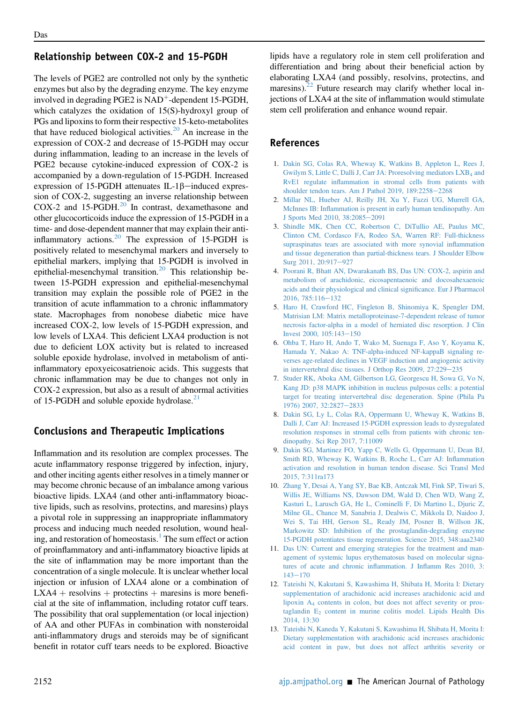#### Relationship between COX-2 and 15-PGDH

The levels of PGE2 are controlled not only by the synthetic enzymes but also by the degrading enzyme. The key enzyme involved in degrading PGE2 is  $NAD^+$ -dependent 15-PGDH, which catalyzes the oxidation of 15(S)-hydroxyl group of PGs and lipoxins to form their respective 15-keto-metabolites that have reduced biological activities. $20$  An increase in the expression of COX-2 and decrease of 15-PGDH may occur during inflammation, leading to an increase in the levels of PGE2 because cytokine-induced expression of COX-2 is accompanied by a down-regulation of 15-PGDH. Increased expression of 15-PGDH attenuates IL-1 $\beta$ -induced expression of COX-2, suggesting an inverse relationship between COX-2 and  $15$ -PGDH. $^{20}$  $^{20}$  $^{20}$  In contrast, dexamethasone and other glucocorticoids induce the expression of 15-PGDH in a time- and dose-dependent manner that may explain their antiinflammatory actions. $20$  The expression of 15-PGDH is positively related to mesenchymal markers and inversely to epithelial markers, implying that 15-PGDH is involved in epithelial-mesenchymal transition.<sup>[20](#page-4-3)</sup> This relationship between 15-PGDH expression and epithelial-mesenchymal transition may explain the possible role of PGE2 in the transition of acute inflammation to a chronic inflammatory state. Macrophages from nonobese diabetic mice have increased COX-2, low levels of 15-PGDH expression, and low levels of LXA4. This deficient LXA4 production is not due to deficient LOX activity but is related to increased soluble epoxide hydrolase, involved in metabolism of antiinflammatory epoxyeicosatrienoic acids. This suggests that chronic inflammation may be due to changes not only in COX-2 expression, but also as a result of abnormal activities of 15-PGDH and soluble epoxide hydrolase.<sup>[21](#page-4-4)</sup>

#### Conclusions and Therapeutic Implications

Inflammation and its resolution are complex processes. The acute inflammatory response triggered by infection, injury, and other inciting agents either resolves in a timely manner or may become chronic because of an imbalance among various bioactive lipids. LXA4 (and other anti-inflammatory bioactive lipids, such as resolvins, protectins, and maresins) plays a pivotal role in suppressing an inappropriate inflammatory process and inducing much needed resolution, wound heal-ing, and restoration of homeostasis.<sup>[1](#page-3-0)</sup> The sum effect or action of proinflammatory and anti-inflammatory bioactive lipids at the site of inflammation may be more important than the concentration of a single molecule. It is unclear whether local injection or infusion of LXA4 alone or a combination of  $LXA4$  + resolvins + protectins + maresins is more beneficial at the site of inflammation, including rotator cuff tears. The possibility that oral supplementation (or local injection) of AA and other PUFAs in combination with nonsteroidal anti-inflammatory drugs and steroids may be of significant benefit in rotator cuff tears needs to be explored. Bioactive

lipids have a regulatory role in stem cell proliferation and differentiation and bring about their beneficial action by elaborating LXA4 (and possibly, resolvins, protectins, and maresins). $22$  Future research may clarify whether local injections of LXA4 at the site of inflammation would stimulate stem cell proliferation and enhance wound repair.

#### <span id="page-3-0"></span>References

- 1. [Dakin SG, Colas RA, Wheway K, Watkins B, Appleton L, Rees J,](http://refhub.elsevier.com/S0002-9440(19)30706-0/sref1) Gwilym S, Little C, Dalli J, Carr JA: Proresolving mediators LXB<sub>4</sub> [and](http://refhub.elsevier.com/S0002-9440(19)30706-0/sref1) RvE1 regulate infl[ammation in stromal cells from patients with](http://refhub.elsevier.com/S0002-9440(19)30706-0/sref1) [shoulder tendon tears. Am J Pathol 2019, 189:2258](http://refhub.elsevier.com/S0002-9440(19)30706-0/sref1)-[2268](http://refhub.elsevier.com/S0002-9440(19)30706-0/sref1)
- <span id="page-3-1"></span>2. [Millar NL, Hueber AJ, Reilly JH, Xu Y, Fazzi UG, Murrell GA,](http://refhub.elsevier.com/S0002-9440(19)30706-0/sref2) McInnes IB: Infl[ammation is present in early human tendinopathy. Am](http://refhub.elsevier.com/S0002-9440(19)30706-0/sref2) [J Sports Med 2010, 38:2085](http://refhub.elsevier.com/S0002-9440(19)30706-0/sref2)-[2091](http://refhub.elsevier.com/S0002-9440(19)30706-0/sref2)
- <span id="page-3-2"></span>3. [Shindle MK, Chen CC, Robertson C, DiTullio AE, Paulus MC,](http://refhub.elsevier.com/S0002-9440(19)30706-0/sref3) [Clinton CM, Cordasco FA, Rodeo SA, Warren RF: Full-thickness](http://refhub.elsevier.com/S0002-9440(19)30706-0/sref3) [supraspinatus tears are associated with more synovial in](http://refhub.elsevier.com/S0002-9440(19)30706-0/sref3)flammation [and tissue degeneration than partial-thickness tears. J Shoulder Elbow](http://refhub.elsevier.com/S0002-9440(19)30706-0/sref3) [Surg 2011, 20:917](http://refhub.elsevier.com/S0002-9440(19)30706-0/sref3)-[927](http://refhub.elsevier.com/S0002-9440(19)30706-0/sref3)
- <span id="page-3-3"></span>4. [Poorani R, Bhatt AN, Dwarakanath BS, Das UN: COX-2, aspirin and](http://refhub.elsevier.com/S0002-9440(19)30706-0/sref4) [metabolism of arachidonic, eicosapentaenoic and docosahexaenoic](http://refhub.elsevier.com/S0002-9440(19)30706-0/sref4) [acids and their physiological and clinical signi](http://refhub.elsevier.com/S0002-9440(19)30706-0/sref4)ficance. Eur J Pharmacol  $2016, 785:116 - 132$  $2016, 785:116 - 132$  $2016, 785:116 - 132$
- <span id="page-3-4"></span>5. [Haro H, Crawford HC, Fingleton B, Shinomiya K, Spengler DM,](http://refhub.elsevier.com/S0002-9440(19)30706-0/sref5) [Matrisian LM: Matrix metalloproteinase-7-dependent release of tumor](http://refhub.elsevier.com/S0002-9440(19)30706-0/sref5) [necrosis factor-alpha in a model of herniated disc resorption. J Clin](http://refhub.elsevier.com/S0002-9440(19)30706-0/sref5) Invest 2000,  $105:143-150$  $105:143-150$
- <span id="page-3-5"></span>6. [Ohba T, Haro H, Ando T, Wako M, Suenaga F, Aso Y, Koyama K,](http://refhub.elsevier.com/S0002-9440(19)30706-0/sref6) [Hamada Y, Nakao A: TNF-alpha-induced NF-kappaB signaling re](http://refhub.elsevier.com/S0002-9440(19)30706-0/sref6)[verses age-related declines in VEGF induction and angiogenic activity](http://refhub.elsevier.com/S0002-9440(19)30706-0/sref6) [in intervertebral disc tissues. J Orthop Res 2009, 27:229](http://refhub.elsevier.com/S0002-9440(19)30706-0/sref6)-[235](http://refhub.elsevier.com/S0002-9440(19)30706-0/sref6)
- <span id="page-3-6"></span>7. [Studer RK, Aboka AM, Gilbertson LG, Georgescu H, Sowa G, Vo N,](http://refhub.elsevier.com/S0002-9440(19)30706-0/sref7) [Kang JD: p38 MAPK inhibition in nucleus pulposus cells: a potential](http://refhub.elsevier.com/S0002-9440(19)30706-0/sref7) [target for treating intervertebral disc degeneration. Spine \(Phila Pa](http://refhub.elsevier.com/S0002-9440(19)30706-0/sref7) [1976\) 2007, 32:2827](http://refhub.elsevier.com/S0002-9440(19)30706-0/sref7)-[2833](http://refhub.elsevier.com/S0002-9440(19)30706-0/sref7)
- <span id="page-3-7"></span>8. [Dakin SG, Ly L, Colas RA, Oppermann U, Wheway K, Watkins B,](http://refhub.elsevier.com/S0002-9440(19)30706-0/sref8) [Dalli J, Carr AJ: Increased 15-PGDH expression leads to dysregulated](http://refhub.elsevier.com/S0002-9440(19)30706-0/sref8) [resolution responses in stromal cells from patients with chronic ten](http://refhub.elsevier.com/S0002-9440(19)30706-0/sref8)[dinopathy. Sci Rep 2017, 7:11009](http://refhub.elsevier.com/S0002-9440(19)30706-0/sref8)
- <span id="page-3-8"></span>9. [Dakin SG, Martinez FO, Yapp C, Wells G, Oppermann U, Dean BJ,](http://refhub.elsevier.com/S0002-9440(19)30706-0/sref9) [Smith RD, Wheway K, Watkins B, Roche L, Carr AJ: In](http://refhub.elsevier.com/S0002-9440(19)30706-0/sref9)flammation [activation and resolution in human tendon disease. Sci Transl Med](http://refhub.elsevier.com/S0002-9440(19)30706-0/sref9) [2015, 7:311ra173](http://refhub.elsevier.com/S0002-9440(19)30706-0/sref9)
- <span id="page-3-9"></span>10. [Zhang Y, Desai A, Yang SY, Bae KB, Antczak MI, Fink SP, Tiwari S,](http://refhub.elsevier.com/S0002-9440(19)30706-0/sref10) [Willis JE, Williams NS, Dawson DM, Wald D, Chen WD, Wang Z,](http://refhub.elsevier.com/S0002-9440(19)30706-0/sref10) [Kasturi L, Larusch GA, He L, Cominelli F, Di Martino L, Djuric Z,](http://refhub.elsevier.com/S0002-9440(19)30706-0/sref10) [Milne GL, Chance M, Sanabria J, Dealwis C, Mikkola D, Naidoo J,](http://refhub.elsevier.com/S0002-9440(19)30706-0/sref10) [Wei S, Tai HH, Gerson SL, Ready JM, Posner B, Willson JK,](http://refhub.elsevier.com/S0002-9440(19)30706-0/sref10) [Markowitz SD: Inhibition of the prostaglandin-degrading enzyme](http://refhub.elsevier.com/S0002-9440(19)30706-0/sref10) [15-PGDH potentiates tissue regeneration. Science 2015, 348:aaa2340](http://refhub.elsevier.com/S0002-9440(19)30706-0/sref10)
- <span id="page-3-10"></span>11. [Das UN: Current and emerging strategies for the treatment and man](http://refhub.elsevier.com/S0002-9440(19)30706-0/sref11)[agement of systemic lupus erythematosus based on molecular signa](http://refhub.elsevier.com/S0002-9440(19)30706-0/sref11)[tures of acute and chronic in](http://refhub.elsevier.com/S0002-9440(19)30706-0/sref11)flammation. J Inflamm Res 2010, 3:  $143 - 170$  $143 - 170$  $143 - 170$
- 12. [Tateishi N, Kakutani S, Kawashima H, Shibata H, Morita I: Dietary](http://refhub.elsevier.com/S0002-9440(19)30706-0/sref12) [supplementation of arachidonic acid increases arachidonic acid and](http://refhub.elsevier.com/S0002-9440(19)30706-0/sref12) [lipoxin A4](http://refhub.elsevier.com/S0002-9440(19)30706-0/sref12) [contents in colon, but does not affect severity or pros](http://refhub.elsevier.com/S0002-9440(19)30706-0/sref12)taglandin  $E_2$  [content in murine colitis model. Lipids Health Dis](http://refhub.elsevier.com/S0002-9440(19)30706-0/sref12) [2014, 13:30](http://refhub.elsevier.com/S0002-9440(19)30706-0/sref12)
- 13. [Tateishi N, Kaneda Y, Kakutani S, Kawashima H, Shibata H, Morita I:](http://refhub.elsevier.com/S0002-9440(19)30706-0/sref13) [Dietary supplementation with arachidonic acid increases arachidonic](http://refhub.elsevier.com/S0002-9440(19)30706-0/sref13) [acid content in paw, but does not affect arthritis severity or](http://refhub.elsevier.com/S0002-9440(19)30706-0/sref13)